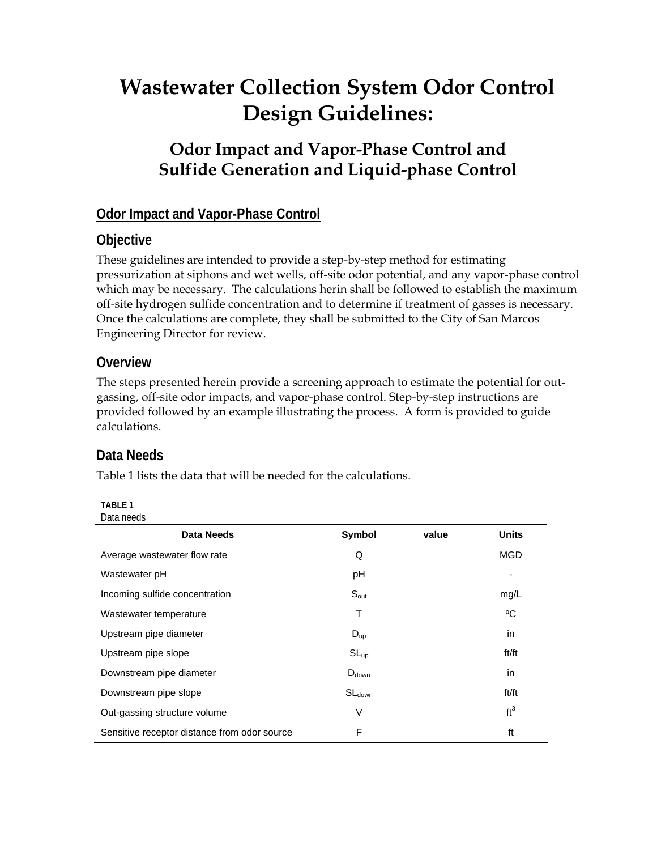# **Wastewater Collection System Odor Control Design Guidelines:**

# **Odor Impact and Vapor-Phase Control and Sulfide Generation and Liquid-phase Control**

# **Odor Impact and Vapor-Phase Control**

# **Objective**

These guidelines are intended to provide a step-by-step method for estimating pressurization at siphons and wet wells, off-site odor potential, and any vapor-phase control which may be necessary. The calculations herin shall be followed to establish the maximum off-site hydrogen sulfide concentration and to determine if treatment of gasses is necessary. Once the calculations are complete, they shall be submitted to the City of San Marcos Engineering Director for review.

# **Overview**

The steps presented herein provide a screening approach to estimate the potential for outgassing, off-site odor impacts, and vapor-phase control. Step-by-step instructions are provided followed by an example illustrating the process. A form is provided to guide calculations.

# **Data Needs**

Table 1 lists the data that will be needed for the calculations.

| <b>TABLE 1</b> |            |
|----------------|------------|
|                | Data needs |

| <b>Data Needs</b>                            | Symbol             | value | <b>Units</b>    |
|----------------------------------------------|--------------------|-------|-----------------|
| Average wastewater flow rate                 | Q                  |       | <b>MGD</b>      |
| Wastewater pH                                | рH                 |       |                 |
| Incoming sulfide concentration               | $S_{\text{out}}$   |       | mg/L            |
| Wastewater temperature                       | т                  |       | °C              |
| Upstream pipe diameter                       | $D_{up}$           |       | in              |
| Upstream pipe slope                          | $SL_{up}$          |       | ft/ft           |
| Downstream pipe diameter                     | $D_{down}$         |       | in              |
| Downstream pipe slope                        | SL <sub>down</sub> |       | ft/ft           |
| Out-gassing structure volume                 | $\vee$             |       | ft <sup>3</sup> |
| Sensitive receptor distance from odor source | F                  |       | ft              |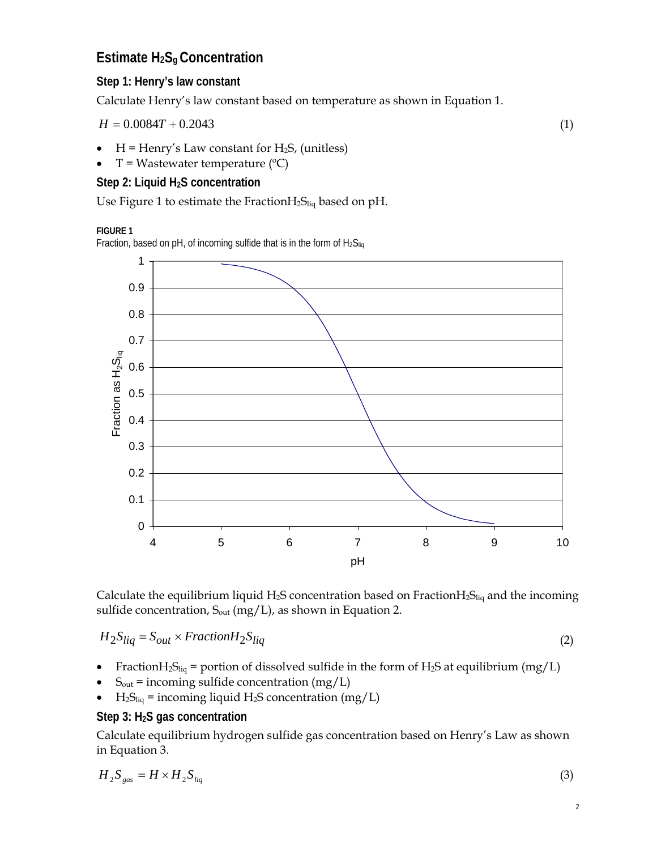# **Estimate H2Sg Concentration**

# **Step 1: Henry's law constant**

Calculate Henry's law constant based on temperature as shown in Equation 1.

$$
H = 0.0084T + 0.2043\tag{1}
$$

- $H =$  Henry's Law constant for H<sub>2</sub>S, (unitless)
- $T = W$ astewater temperature (°C)

## **Step 2: Liquid H2S concentration**

Use Figure 1 to estimate the Fraction $H_2S_{liq}$  based on pH.

**FIGURE 1** 

Fraction, based on pH, of incoming sulfide that is in the form of  $H_2S_{liq}$ 



Calculate the equilibrium liquid H<sub>2</sub>S concentration based on Fraction $H_2S_{liq}$  and the incoming sulfide concentration,  $S_{out}$  (mg/L), as shown in Equation 2.

$$
H_2 S_{liq} = S_{out} \times Fraction H_2 S_{liq}
$$
 (2)

- Fraction $H_2S_{liq}$  = portion of dissolved sulfide in the form of  $H_2S$  at equilibrium (mg/L)
- $S_{\text{out}}$  = incoming sulfide concentration (mg/L)
- $H_2S_{liq}$  = incoming liquid H<sub>2</sub>S concentration (mg/L)

## **Step 3: H2S gas concentration**

Calculate equilibrium hydrogen sulfide gas concentration based on Henry's Law as shown in Equation 3.

$$
H_2 S_{gas} = H \times H_2 S_{liq} \tag{3}
$$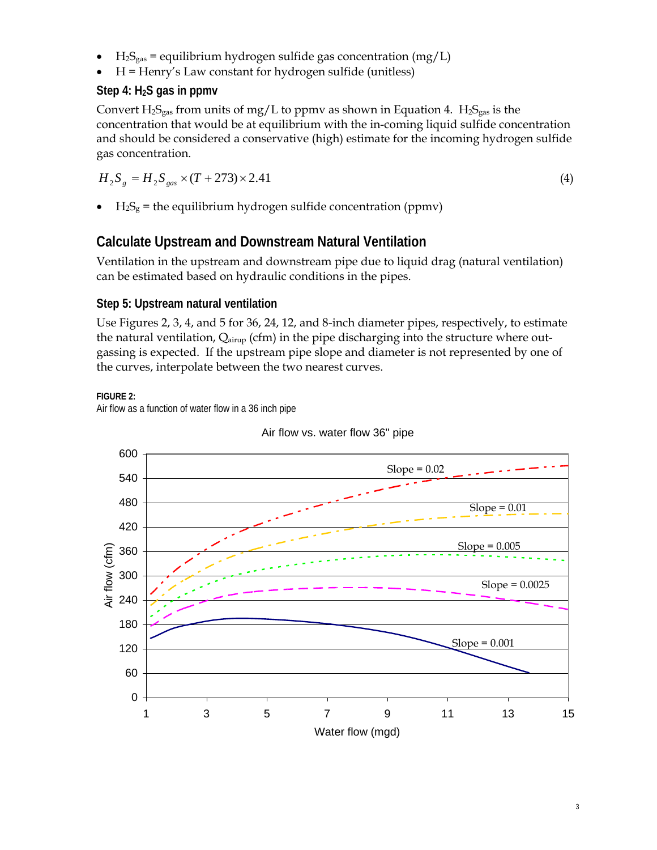- $H_2S_{gas}$  = equilibrium hydrogen sulfide gas concentration (mg/L)
- H = Henry's Law constant for hydrogen sulfide (unitless)

### **Step 4: H2S gas in ppmv**

Convert  $H_2S_{gas}$  from units of mg/L to ppmv as shown in Equation 4.  $H_2S_{gas}$  is the concentration that would be at equilibrium with the in-coming liquid sulfide concentration and should be considered a conservative (high) estimate for the incoming hydrogen sulfide gas concentration.

$$
H_2 S_g = H_2 S_{gas} \times (T + 273) \times 2.41
$$
 (4)

 $H_2S_g$  = the equilibrium hydrogen sulfide concentration (ppmv)

# **Calculate Upstream and Downstream Natural Ventilation**

Ventilation in the upstream and downstream pipe due to liquid drag (natural ventilation) can be estimated based on hydraulic conditions in the pipes.

### **Step 5: Upstream natural ventilation**

Use Figures 2, 3, 4, and 5 for 36, 24, 12, and 8-inch diameter pipes, respectively, to estimate the natural ventilation,  $Q_{airup}$  (cfm) in the pipe discharging into the structure where outgassing is expected. If the upstream pipe slope and diameter is not represented by one of the curves, interpolate between the two nearest curves.

#### **FIGURE 2:**

Air flow as a function of water flow in a 36 inch pipe



#### Air flow vs. water flow 36" pipe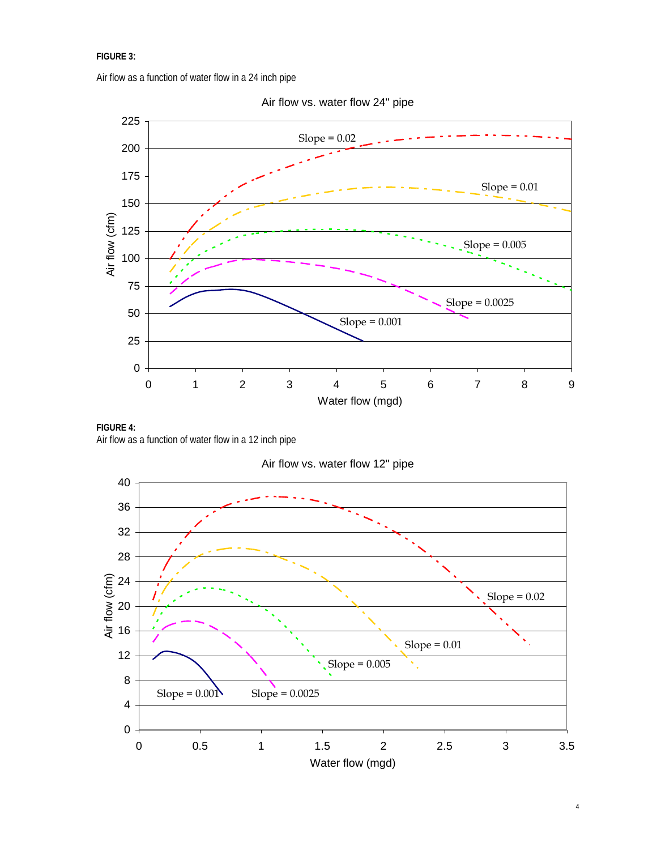#### **FIGURE 3**:

Air flow as a function of water flow in a 24 inch pipe





**FIGURE 4:**  Air flow as a function of water flow in a 12 inch pipe

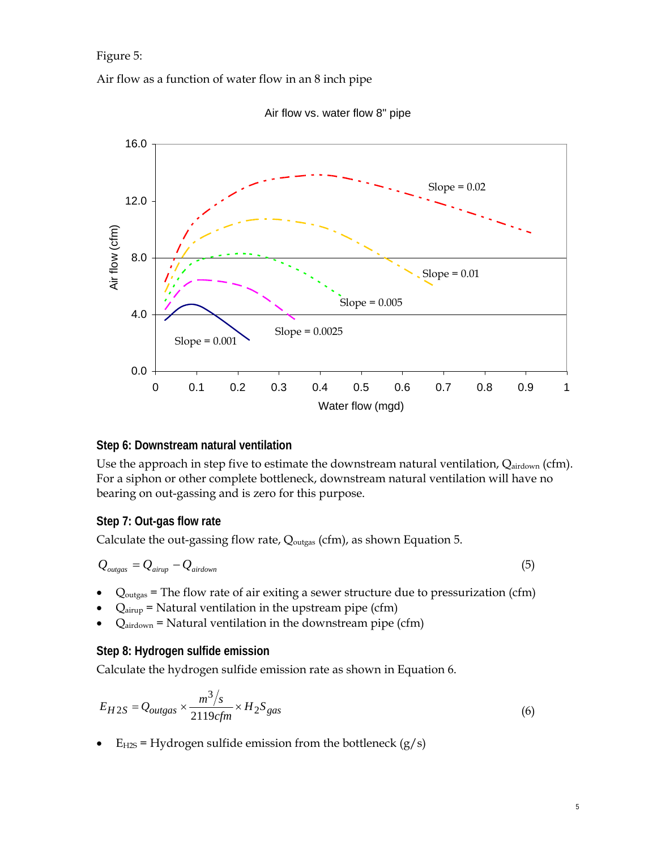Figure 5:

Air flow as a function of water flow in an 8 inch pipe



Air flow vs. water flow 8" pipe

#### **Step 6: Downstream natural ventilation**

Use the approach in step five to estimate the downstream natural ventilation, Qairdown (cfm). For a siphon or other complete bottleneck, downstream natural ventilation will have no bearing on out-gassing and is zero for this purpose.

#### **Step 7: Out-gas flow rate**

Calculate the out-gassing flow rate,  $Q_{\text{outgas}}$  (cfm), as shown Equation 5.

$$
Q_{\text{outgas}} = Q_{\text{airup}} - Q_{\text{airdown}} \tag{5}
$$

- $Q_{\text{outgas}}$  = The flow rate of air exiting a sewer structure due to pressurization (cfm)
- $Q_{airup}$  = Natural ventilation in the upstream pipe (cfm)
- $Q_{\text{airdown}}$  = Natural ventilation in the downstream pipe (cfm)

#### **Step 8: Hydrogen sulfide emission**

Calculate the hydrogen sulfide emission rate as shown in Equation 6.

$$
E_{H2S} = Q_{outgas} \times \frac{m^3/s}{2119cfm} \times H_2S_{gas}
$$
 (6)

 $E_{H2S}$  = Hydrogen sulfide emission from the bottleneck (g/s)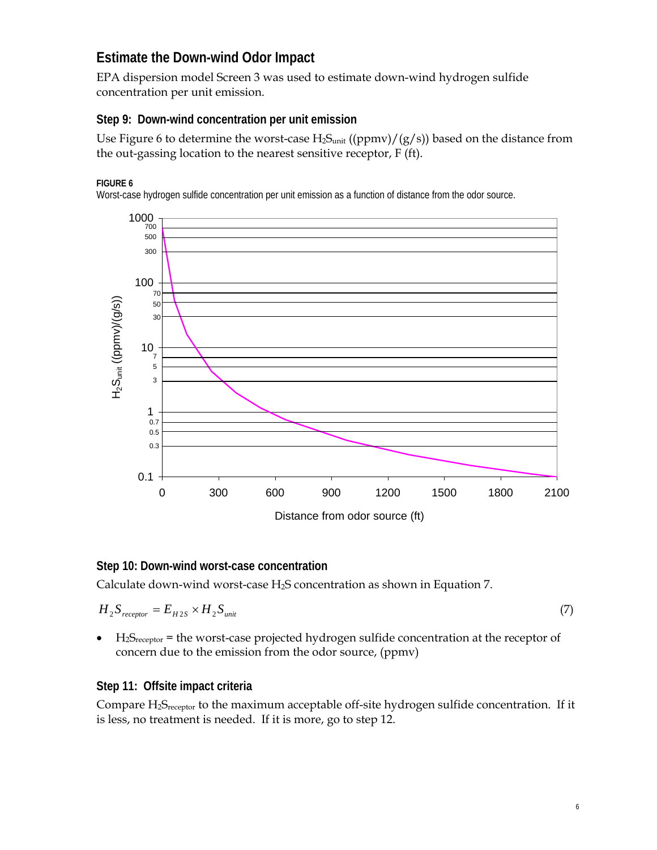# **Estimate the Down-wind Odor Impact**

EPA dispersion model Screen 3 was used to estimate down-wind hydrogen sulfide concentration per unit emission.

### **Step 9: Down-wind concentration per unit emission**

Use Figure 6 to determine the worst-case  $H_2S<sub>unit</sub>$  ((ppmv)/(g/s)) based on the distance from the out-gassing location to the nearest sensitive receptor, F (ft).

#### **FIGURE 6**

Worst-case hydrogen sulfide concentration per unit emission as a function of distance from the odor source.



#### **Step 10: Down-wind worst-case concentration**

Calculate down-wind worst-case  $H_2S$  concentration as shown in Equation 7.

$$
H_2 S_{receptor} = E_{H2S} \times H_2 S_{unit} \tag{7}
$$

•  $H_2S_{receptor}$  = the worst-case projected hydrogen sulfide concentration at the receptor of concern due to the emission from the odor source, (ppmv)

### **Step 11: Offsite impact criteria**

Compare H<sub>2</sub>S<sub>receptor</sub> to the maximum acceptable off-site hydrogen sulfide concentration. If it is less, no treatment is needed. If it is more, go to step 12.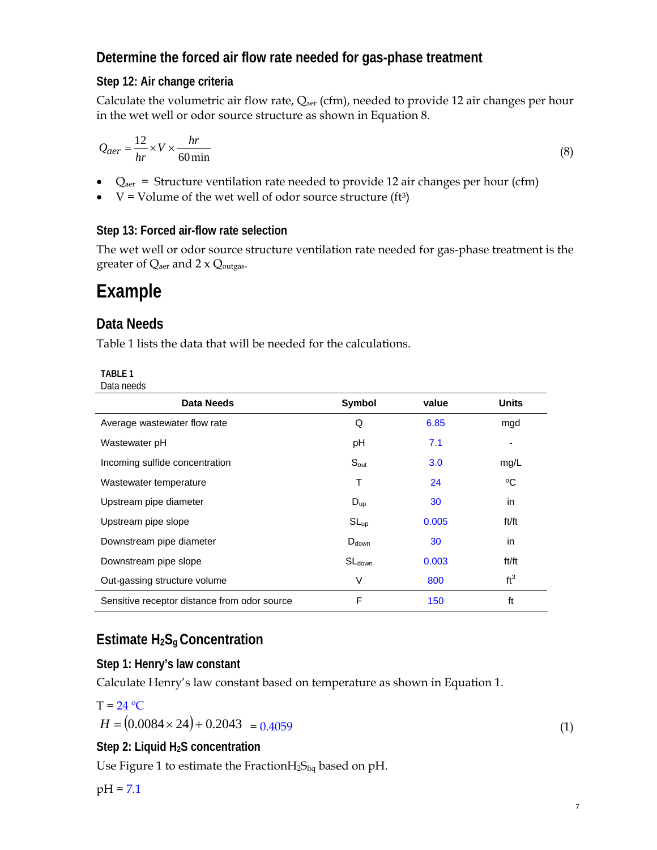# **Determine the forced air flow rate needed for gas-phase treatment**

# **Step 12: Air change criteria**

Calculate the volumetric air flow rate,  $Q_{\text{aer}}$  (cfm), needed to provide 12 air changes per hour in the wet well or odor source structure as shown in Equation 8.

$$
Q_{aer} = \frac{12}{hr} \times V \times \frac{hr}{60 \text{min}}
$$
 (8)

- $Q<sub>aer</sub>$  = Structure ventilation rate needed to provide 12 air changes per hour (cfm)
- $V =$  Volume of the wet well of odor source structure (ft<sup>3</sup>)

## **Step 13: Forced air-flow rate selection**

The wet well or odor source structure ventilation rate needed for gas-phase treatment is the greater of  $Q_{\text{aer}}$  and  $2 \times Q_{\text{outgas}}$ .

# **Example**

# **Data Needs**

Table 1 lists the data that will be needed for the calculations.

| ARI |  |
|-----|--|
|     |  |

| <b>Data Needs</b>                            | Symbol             | value | <b>Units</b>             |
|----------------------------------------------|--------------------|-------|--------------------------|
| Average wastewater flow rate                 | Q                  | 6.85  | mgd                      |
| Wastewater pH                                | рH                 | 7.1   | $\overline{\phantom{a}}$ |
| Incoming sulfide concentration               | $S_{\text{out}}$   | 3.0   | mg/L                     |
| Wastewater temperature                       | т                  | 24    | °C                       |
| Upstream pipe diameter                       | $D_{up}$           | 30    | in                       |
| Upstream pipe slope                          | $SL_{up}$          | 0.005 | ft/ft                    |
| Downstream pipe diameter                     | $D_{down}$         | 30    | in                       |
| Downstream pipe slope                        | SL <sub>down</sub> | 0.003 | ft/ft                    |
| Out-gassing structure volume                 | V                  | 800   | ft <sup>3</sup>          |
| Sensitive receptor distance from odor source | F                  | 150   | ft                       |

# **Estimate H2Sg Concentration**

## **Step 1: Henry's law constant**

Calculate Henry's law constant based on temperature as shown in Equation 1.

$$
T = 24 \,^{\circ}\mathrm{C}
$$

$$
H = (0.0084 \times 24) + 0.2043 = 0.4059
$$
\n<sup>(1)</sup>

## **Step 2: Liquid H2S concentration**

Use Figure 1 to estimate the Fraction $H_2S_{liq}$  based on pH.

## pH = 7.1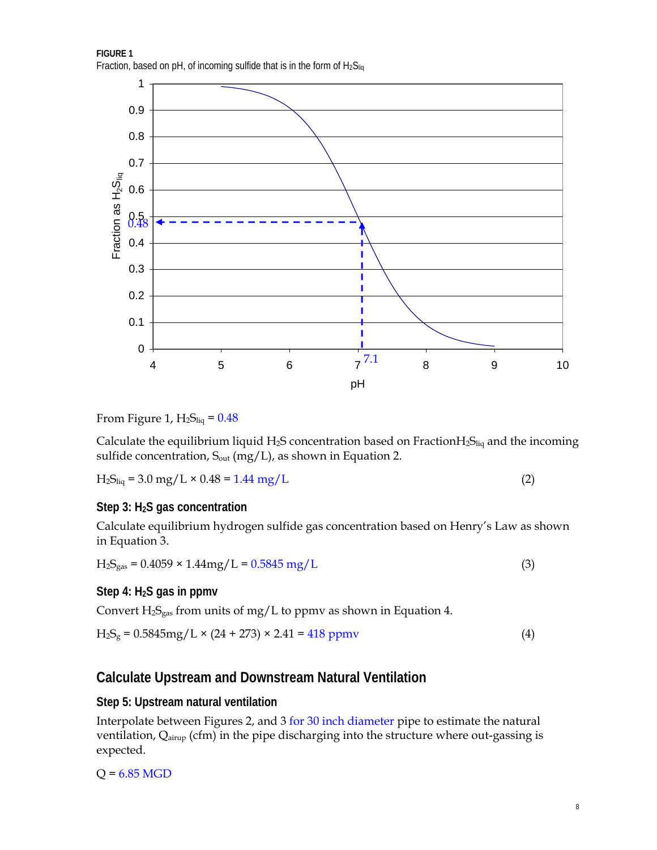**FIGURE 1**  Fraction, based on pH, of incoming sulfide that is in the form of  $H_2S_{\text{lin}}$ 



From Figure 1,  $H_2S_{liq} = 0.48$ 

Calculate the equilibrium liquid H<sub>2</sub>S concentration based on Fraction $H_2S_{liq}$  and the incoming sulfide concentration,  $S_{out}$  (mg/L), as shown in Equation 2.

$$
H_2S_{liq} = 3.0 \text{ mg/L} \times 0.48 = 1.44 \text{ mg/L}
$$
 (2)

#### **Step 3: H2S gas concentration**

Calculate equilibrium hydrogen sulfide gas concentration based on Henry's Law as shown in Equation 3.

 $H_2S_{gas} = 0.4059 \times 1.44mg/L = 0.5845 mg/L$  (3)

#### **Step 4: H2S gas in ppmv**

Convert  $H_2S_{gas}$  from units of mg/L to ppmv as shown in Equation 4.

$$
H_2S_g = 0.5845mg/L \times (24 + 273) \times 2.41 = 418 ppmv
$$
 (4)

### **Calculate Upstream and Downstream Natural Ventilation**

#### **Step 5: Upstream natural ventilation**

Interpolate between Figures 2, and 3 for 30 inch diameter pipe to estimate the natural ventilation, Q<sub>airup</sub> (cfm) in the pipe discharging into the structure where out-gassing is expected.

 $Q = 6.85$  MGD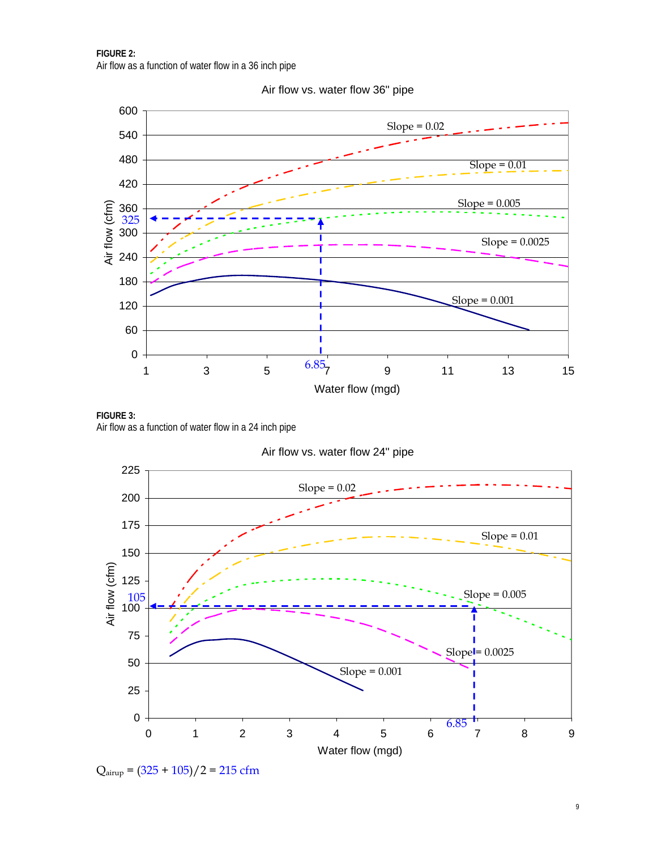

Air flow vs. water flow 36" pipe

**FIGURE 3:**  Air flow as a function of water flow in a 24 inch pipe

Air flow vs. water flow 24" pipe



 $Q_{\text{airup}} = (325 + 105)/2 = 215 \text{ cfm}$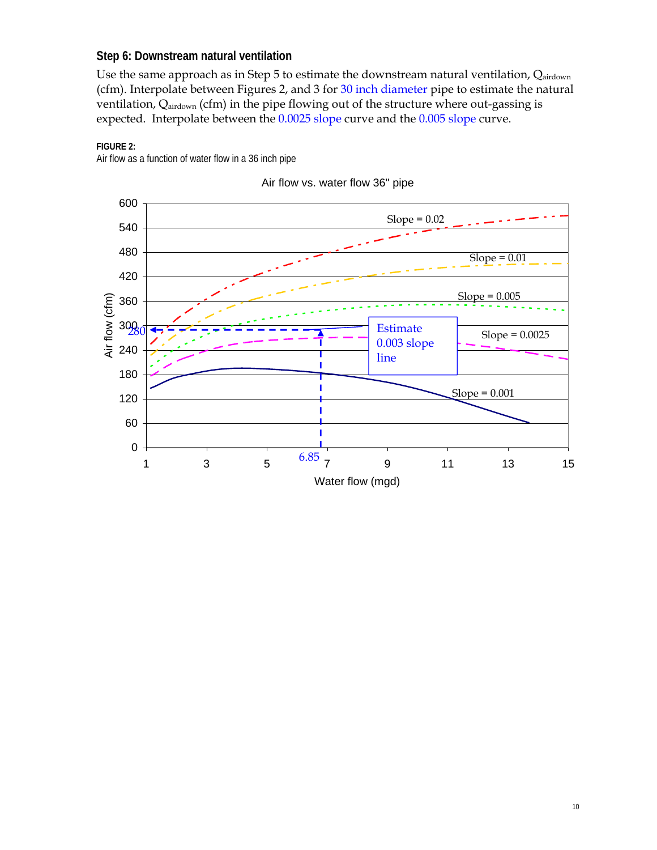#### **Step 6: Downstream natural ventilation**

Use the same approach as in Step 5 to estimate the downstream natural ventilation, Qairdown (cfm). Interpolate between Figures 2, and 3 for 30 inch diameter pipe to estimate the natural ventilation, Qairdown (cfm) in the pipe flowing out of the structure where out-gassing is expected. Interpolate between the 0.0025 slope curve and the 0.005 slope curve.





Air flow vs. water flow 36" pipe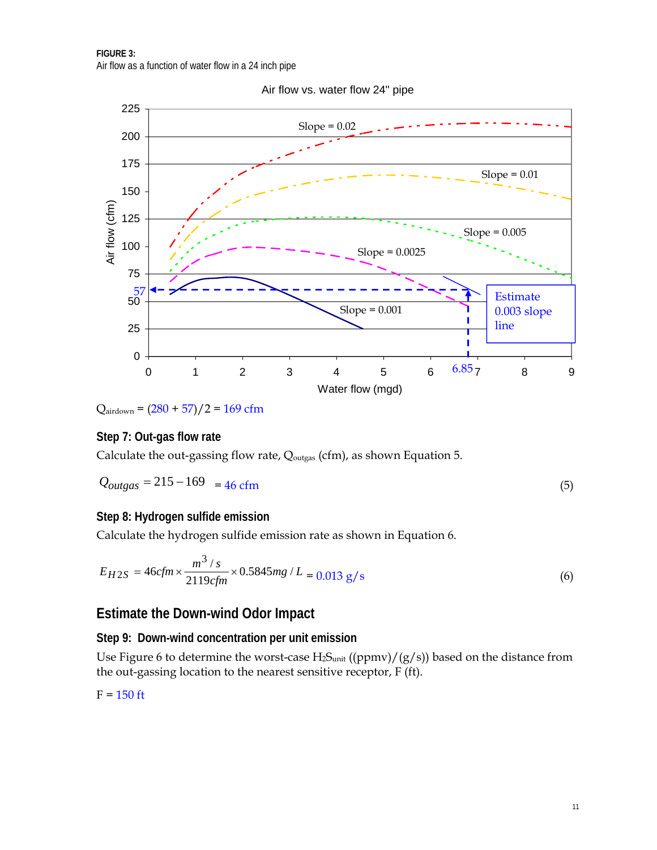

Air flow vs. water flow 24" pipe

 $Q_{\text{airdown}} = (280 + 57)/2 = 169$  cfm

### **Step 7: Out-gas flow rate**

Calculate the out-gassing flow rate, Q<sub>outgas</sub> (cfm), as shown Equation 5.

$$
Q_{outgas} = 215 - 169 = 46 \text{ cfm}
$$
 (5)

#### **Step 8: Hydrogen sulfide emission**

Calculate the hydrogen sulfide emission rate as shown in Equation 6.

$$
E_{H2S} = 46cfm \times \frac{m^3/s}{2119cfm} \times 0.5845mg / L = 0.013 \text{ g/s}
$$
 (6)

## **Estimate the Down-wind Odor Impact**

### **Step 9: Down-wind concentration per unit emission**

Use Figure 6 to determine the worst-case  $H_2S<sub>unit</sub>$  ((ppmv)/(g/s)) based on the distance from the out-gassing location to the nearest sensitive receptor, F (ft).

$$
F = 150 \text{ ft}
$$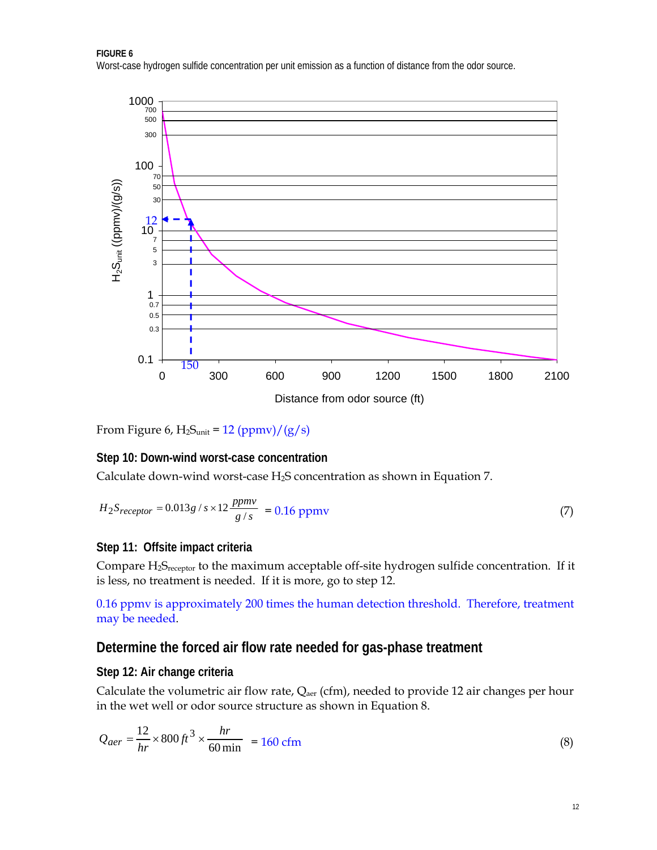Worst-case hydrogen sulfide concentration per unit emission as a function of distance from the odor source.



From Figure 6,  $H_2S_{unit} = 12 (ppmv)/(g/s)$ 

#### **Step 10: Down-wind worst-case concentration**

Calculate down-wind worst-case  $H_2S$  concentration as shown in Equation 7.

$$
H_2S_{receptor} = 0.013g/s \times 12 \frac{ppmv}{g/s} = 0.16 \text{ ppmv}
$$
 (7)

#### **Step 11: Offsite impact criteria**

Compare H2Sreceptor to the maximum acceptable off-site hydrogen sulfide concentration. If it is less, no treatment is needed. If it is more, go to step 12.

0.16 ppmv is approximately 200 times the human detection threshold. Therefore, treatment may be needed.

## **Determine the forced air flow rate needed for gas-phase treatment**

#### **Step 12: Air change criteria**

Calculate the volumetric air flow rate,  $Q_{\text{aer}}$  (cfm), needed to provide 12 air changes per hour in the wet well or odor source structure as shown in Equation 8.

$$
Q_{aer} = \frac{12}{hr} \times 800 \, ft^3 \times \frac{hr}{60 \, \text{min}} = 160 \, \text{cfm}
$$
\n<sup>(8)</sup>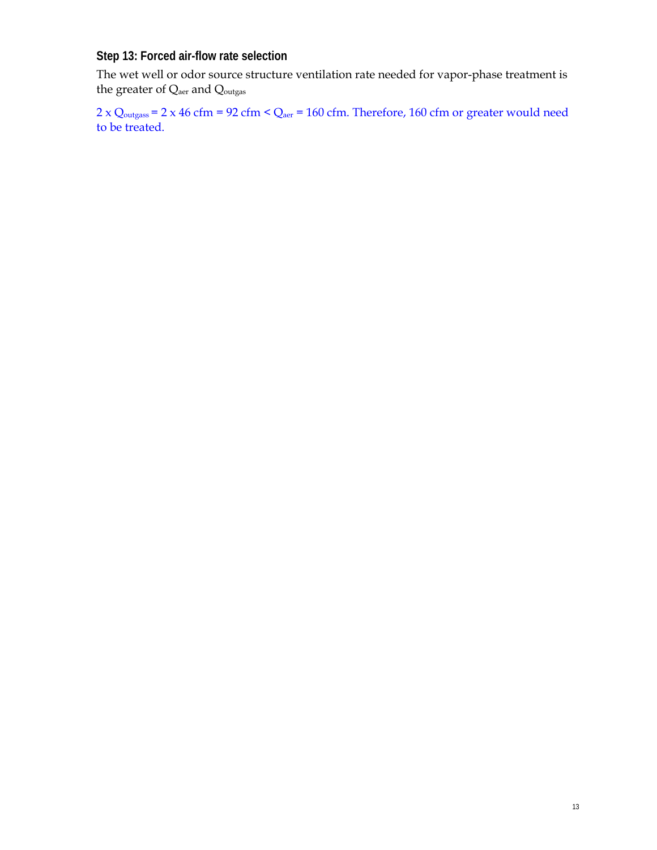**Step 13: Forced air-flow rate selection** 

The wet well or odor source structure ventilation rate needed for vapor-phase treatment is the greater of Q<sub>aer</sub> and Q<sub>outgas</sub>

 $2 \times Q_{\text{outgas}} = 2 \times 46 \text{ cfm} = 92 \text{ cfm} < Q_{\text{aer}} = 160 \text{ cfm}$ . Therefore, 160 cfm or greater would need to be treated.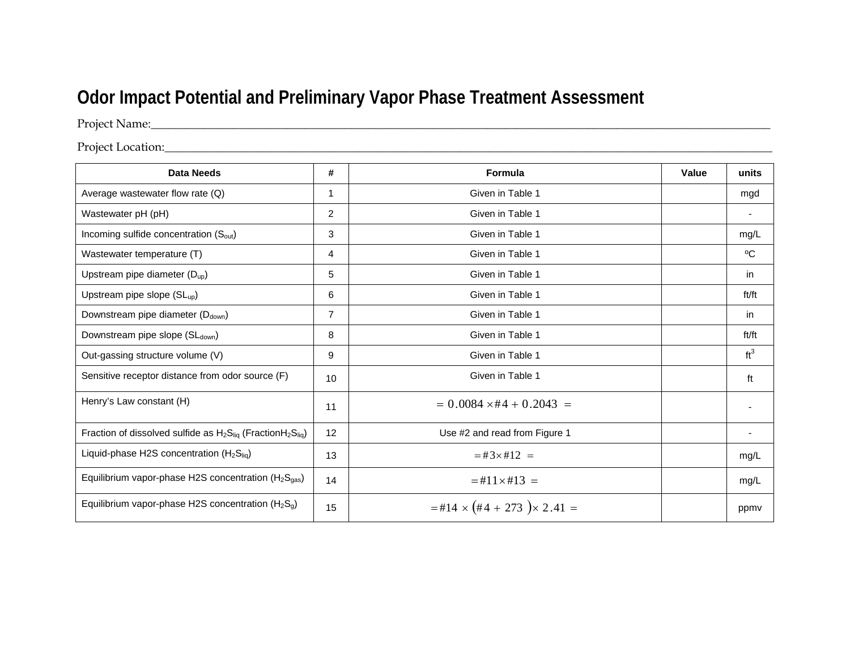# **Odor Impact Potential and Preliminary Vapor Phase Treatment Assessment**

Project Name:\_\_\_\_\_\_\_\_\_\_\_\_\_\_\_\_\_\_\_\_\_\_\_\_\_\_\_\_\_\_\_\_\_\_\_\_\_\_\_\_\_\_\_\_\_\_\_\_\_\_\_\_\_\_\_\_\_\_\_\_\_\_\_\_\_\_\_\_\_\_\_\_\_\_\_\_\_\_\_\_\_\_\_\_\_\_\_\_\_\_\_\_\_\_\_\_\_\_\_\_\_\_\_\_\_

Project Location: which are also assumed to the contract of the contract of the contract of the contract of the contract of the contract of the contract of the contract of the contract of the contract of the contract of th

| <b>Data Needs</b>                                                      | #              | Formula                                      | Value | units           |
|------------------------------------------------------------------------|----------------|----------------------------------------------|-------|-----------------|
| Average wastewater flow rate (Q)                                       | 1              | Given in Table 1                             |       | mgd             |
| Wastewater pH (pH)                                                     | $\overline{2}$ | Given in Table 1                             |       |                 |
| Incoming sulfide concentration (S <sub>out</sub> )                     | 3              | Given in Table 1                             |       | mg/L            |
| Wastewater temperature (T)                                             | 4              | Given in Table 1                             |       | °C              |
| Upstream pipe diameter $(D_{up})$                                      | 5              | Given in Table 1                             |       | in.             |
| Upstream pipe slope (SL <sub>up</sub> )                                | 6              | Given in Table 1                             |       | ft/ft           |
| Downstream pipe diameter (Ddown)                                       | $\overline{7}$ | Given in Table 1                             |       | in.             |
| Downstream pipe slope (SLdown)                                         | 8              | Given in Table 1                             |       | ft/ft           |
| Out-gassing structure volume (V)                                       | 9              | Given in Table 1                             |       | ft <sup>3</sup> |
| Sensitive receptor distance from odor source (F)                       | 10             | Given in Table 1                             |       | ft              |
| Henry's Law constant (H)                                               | 11             | $= 0.0084 \times #4 + 0.2043 =$              |       |                 |
| Fraction of dissolved sulfide as $H_2S_{liq}$ (Fraction $H_2S_{liq}$ ) | 12             | Use #2 and read from Figure 1                |       |                 |
| Liquid-phase H2S concentration $(H_2S_{liq})$                          | 13             | $=$ #3 $\times$ #12 =                        |       | mg/L            |
| Equilibrium vapor-phase H2S concentration $(H_2S_{gas})$               | 14             | $=$ #11 $\times$ #13 =                       |       | mg/L            |
| Equilibrium vapor-phase H2S concentration $(H_2S_q)$                   | 15             | $=$ #14 $\times$ (#4 + 273 ) $\times$ 2.41 = |       | ppmy            |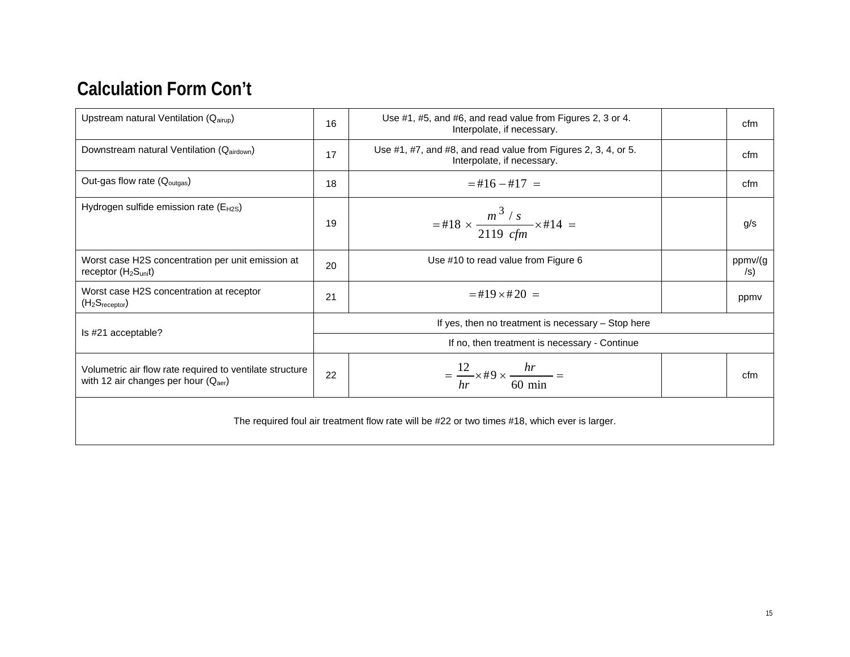# **Calculation Form Con't**

| Upstream natural Ventilation (Qairup)                                                             | 16                                            | Use #1, #5, and #6, and read value from Figures 2, 3 or 4.<br>Interpolate, if necessary.     |  | cfm                   |
|---------------------------------------------------------------------------------------------------|-----------------------------------------------|----------------------------------------------------------------------------------------------|--|-----------------------|
| Downstream natural Ventilation (Qairdown)                                                         | 17                                            | Use #1, #7, and #8, and read value from Figures 2, 3, 4, or 5.<br>Interpolate, if necessary. |  | cfm                   |
| Out-gas flow rate (Q <sub>outgas</sub> )                                                          | 18                                            | $=$ #16 $-$ #17 $=$                                                                          |  | cfm                   |
| Hydrogen sulfide emission rate (E <sub>H2S</sub> )                                                | 19                                            | =#18 $\times \frac{m^3 / s}{2119 \text{ c} \text{fm}} \times$ #14 =                          |  | g/s                   |
| Worst case H2S concentration per unit emission at<br>receptor $(H_2S_{unit})$                     | 20                                            | Use #10 to read value from Figure 6                                                          |  | ppmv/(g<br>$\sqrt{s}$ |
| Worst case H2S concentration at receptor<br>(H <sub>2</sub> S <sub>receptor</sub> )               | 21                                            | $=$ #19 $\times$ #20 $=$                                                                     |  | ppmy                  |
| If yes, then no treatment is necessary $-$ Stop here                                              |                                               |                                                                                              |  |                       |
| Is #21 acceptable?                                                                                | If no, then treatment is necessary - Continue |                                                                                              |  |                       |
| Volumetric air flow rate required to ventilate structure<br>with 12 air changes per hour $(Qaer)$ | 22                                            | $=\frac{12}{hr} \times \text{\#9} \times \frac{hr}{60 \text{ min}} =$                        |  | cfm                   |
| The required foul air treatment flow rate will be #22 or two times #18, which ever is larger.     |                                               |                                                                                              |  |                       |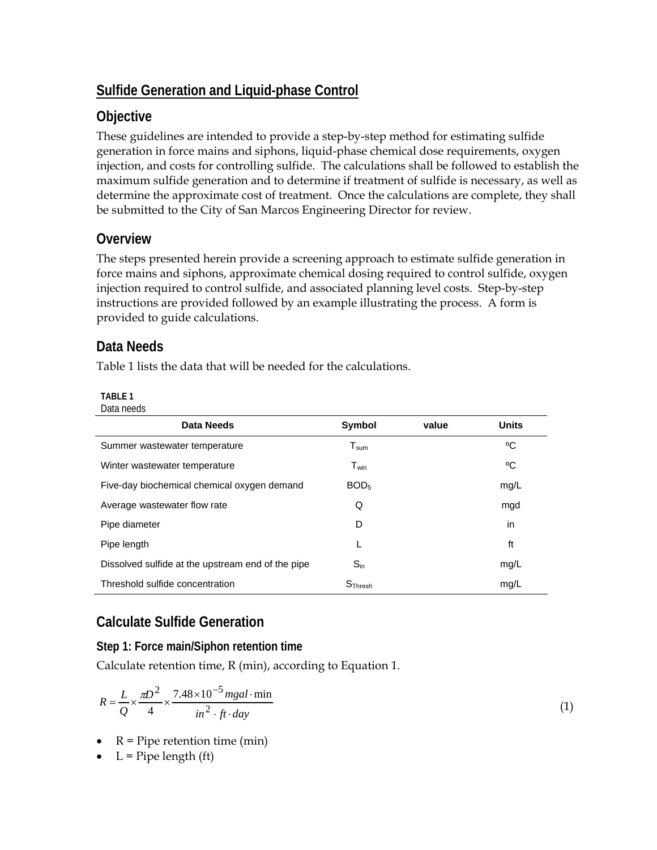# **Sulfide Generation and Liquid-phase Control**

# **Objective**

These guidelines are intended to provide a step-by-step method for estimating sulfide generation in force mains and siphons, liquid-phase chemical dose requirements, oxygen injection, and costs for controlling sulfide. The calculations shall be followed to establish the maximum sulfide generation and to determine if treatment of sulfide is necessary, as well as determine the approximate cost of treatment. Once the calculations are complete, they shall be submitted to the City of San Marcos Engineering Director for review.

# **Overview**

The steps presented herein provide a screening approach to estimate sulfide generation in force mains and siphons, approximate chemical dosing required to control sulfide, oxygen injection required to control sulfide, and associated planning level costs. Step-by-step instructions are provided followed by an example illustrating the process. A form is provided to guide calculations.

# **Data Needs**

Table 1 lists the data that will be needed for the calculations.

### **TABLE 1**

| Data needs |  |
|------------|--|
|------------|--|

| <b>Data Needs</b>                                 | <b>Symbol</b>                | value | <b>Units</b> |
|---------------------------------------------------|------------------------------|-------|--------------|
| Summer wastewater temperature                     | ${\mathsf T}_{\textsf{sum}}$ |       | °C           |
| Winter wastewater temperature                     | $T_{win}$                    |       | °C           |
| Five-day biochemical chemical oxygen demand       | BOD <sub>5</sub>             |       | mg/L         |
| Average wastewater flow rate                      | Q                            |       | mgd          |
| Pipe diameter                                     | D                            |       | in           |
| Pipe length                                       |                              |       | ft           |
| Dissolved sulfide at the upstream end of the pipe | $S_{\sf in}$                 |       | mg/L         |
| Threshold sulfide concentration                   | $S$ Thresh                   |       | mg/L         |

# **Calculate Sulfide Generation**

## **Step 1: Force main/Siphon retention time**

Calculate retention time, R (min), according to Equation 1.

$$
R = \frac{L}{Q} \times \frac{\pi D^2}{4} \times \frac{7.48 \times 10^{-5} \text{ mgal} \cdot \text{min}}{\text{in}^2 \cdot \text{ft} \cdot \text{day}}
$$
(1)

- $R =$  Pipe retention time (min)
- $L =$  Pipe length (ft)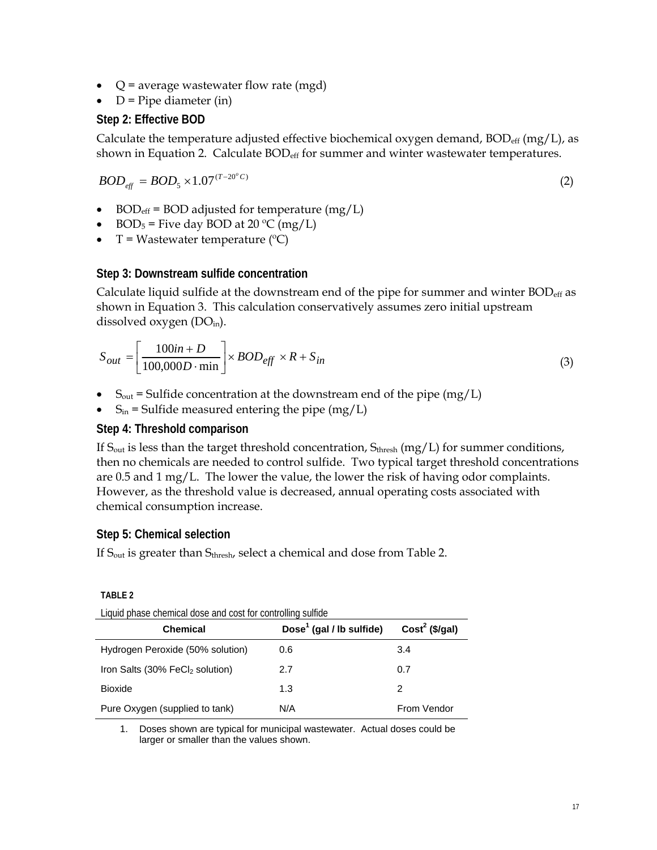- $Q =$  average wastewater flow rate (mgd)
- $D =$  Pipe diameter (in)

#### **Step 2: Effective BOD**

Calculate the temperature adjusted effective biochemical oxygen demand,  $BOD_{eff}$  (mg/L), as shown in Equation 2. Calculate  $BOD_{\text{eff}}$  for summer and winter wastewater temperatures.

$$
BOD_{\text{eff}} = BOD_{5} \times 1.07^{(T-20^{\circ}C)} \tag{2}
$$

- BOD<sub>eff</sub> = BOD adjusted for temperature  $(mg/L)$
- BOD<sub>5</sub> = Five day BOD at 20 °C (mg/L)
- $T = W$ astewater temperature (°C)

#### **Step 3: Downstream sulfide concentration**

Calculate liquid sulfide at the downstream end of the pipe for summer and winter  $BOD_{eff}$  as shown in Equation 3. This calculation conservatively assumes zero initial upstream dissolved oxygen  $(DO<sub>in</sub>)$ .

$$
S_{out} = \left[\frac{100in + D}{100,000D \cdot min}\right] \times BOD_{eff} \times R + S_{in}
$$
\n(3)

- $S_{\text{out}}$  = Sulfide concentration at the downstream end of the pipe (mg/L)
- $S_{in}$  = Sulfide measured entering the pipe (mg/L)

#### **Step 4: Threshold comparison**

If  $S_{\text{out}}$  is less than the target threshold concentration,  $S_{\text{thresh}}$  (mg/L) for summer conditions, then no chemicals are needed to control sulfide. Two typical target threshold concentrations are 0.5 and 1 mg/L. The lower the value, the lower the risk of having odor complaints. However, as the threshold value is decreased, annual operating costs associated with chemical consumption increase.

### **Step 5: Chemical selection**

If S<sub>out</sub> is greater than Sthresh, select a chemical and dose from Table 2.

| Liquid pridse crientical dose and cost for controlling suitide |                                      |                  |  |  |
|----------------------------------------------------------------|--------------------------------------|------------------|--|--|
| <b>Chemical</b>                                                | Dose <sup>1</sup> (gal / lb sulfide) | $Cost2$ (\$/gal) |  |  |
| Hydrogen Peroxide (50% solution)                               | 0.6                                  | 3.4              |  |  |
| Iron Salts (30% FeCl <sub>2</sub> solution)                    | 2.7                                  | 0.7              |  |  |
| <b>Bioxide</b>                                                 | 1.3                                  | 2                |  |  |
| Pure Oxygen (supplied to tank)                                 | N/A                                  | From Vendor      |  |  |

Liquid phase chemical dose and cost for controlling sulfide

1. Doses shown are typical for municipal wastewater. Actual doses could be larger or smaller than the values shown.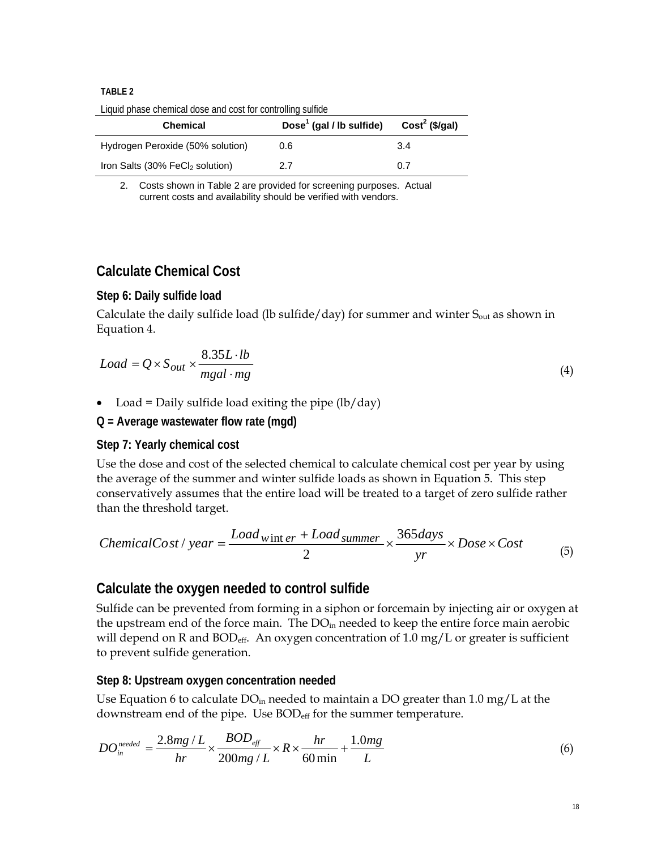#### **TABLE 2**

Liquid phase chemical dose and cost for controlling sulfide

| <b>Chemical</b>                             | Dose <sup>1</sup> (gal / lb sulfide) | $Cost2$ (\$/gal) |
|---------------------------------------------|--------------------------------------|------------------|
| Hydrogen Peroxide (50% solution)            | 0.6                                  | 3.4              |
| Iron Salts (30% FeCI <sub>2</sub> solution) | 2.7                                  | 0.7              |

2. Costs shown in Table 2 are provided for screening purposes. Actual current costs and availability should be verified with vendors.

# **Calculate Chemical Cost**

#### **Step 6: Daily sulfide load**

Calculate the daily sulfide load (lb sulfide/day) for summer and winter  $S_{out}$  as shown in Equation 4.

$$
Load = Q \times S_{out} \times \frac{8.35L \cdot lb}{mgal \cdot mg}
$$
\n<sup>(4)</sup>

• Load = Daily sulfide load exiting the pipe  $\left(\frac{lb}{day}\right)$ 

#### **Q = Average wastewater flow rate (mgd)**

#### **Step 7: Yearly chemical cost**

Use the dose and cost of the selected chemical to calculate chemical cost per year by using the average of the summer and winter sulfide loads as shown in Equation 5. This step conservatively assumes that the entire load will be treated to a target of zero sulfide rather than the threshold target.

ChemicalCost / year = 
$$
\frac{Load_{wint er} + Load_{summer}}{2} \times \frac{365 days}{yr} \times Does \times Cost
$$
 (5)

### **Calculate the oxygen needed to control sulfide**

Sulfide can be prevented from forming in a siphon or forcemain by injecting air or oxygen at the upstream end of the force main. The  $DO<sub>in</sub>$  needed to keep the entire force main aerobic will depend on R and BOD<sub>eff</sub>. An oxygen concentration of 1.0 mg/L or greater is sufficient to prevent sulfide generation.

#### **Step 8: Upstream oxygen concentration needed**

Use Equation 6 to calculate  $DO<sub>in</sub>$  needed to maintain a DO greater than 1.0 mg/L at the downstream end of the pipe. Use BOD<sub>eff</sub> for the summer temperature.

$$
DO_{in}^{needed} = \frac{2.8mg/L}{hr} \times \frac{BOD_{eff}}{200mg/L} \times R \times \frac{hr}{60\min} + \frac{1.0mg}{L}
$$
 (6)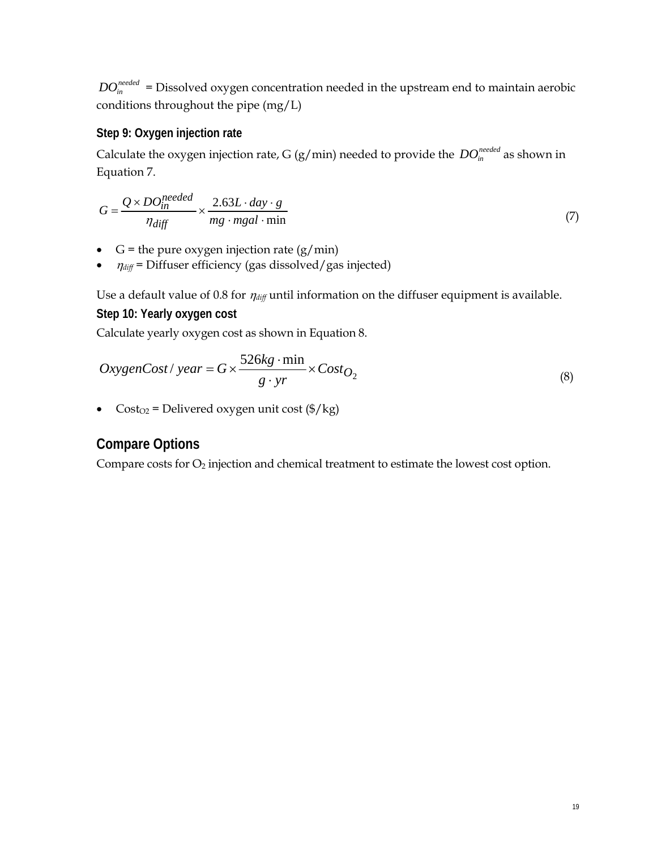$DO<sub>in</sub><sup>needed</sup>$  = Dissolved oxygen concentration needed in the upstream end to maintain aerobic conditions throughout the pipe (mg/L)

### **Step 9: Oxygen injection rate**

Calculate the oxygen injection rate, G (g/min) needed to provide the  $DO<sub>in</sub><sup>needed</sup>$  as shown in Equation 7.

$$
G = \frac{Q \times DO_{in}^{needed}}{\eta_{diff}} \times \frac{2.63L \cdot day \cdot g}{mg \cdot mgal \cdot \min}
$$
 (7)

- $G =$  the pure oxygen injection rate  $(g/min)$
- $\bullet$   $\eta_{\text{diff}}$  = Diffuser efficiency (gas dissolved/gas injected)

Use a default value of 0.8 for  $\eta_{\text{diff}}$  until information on the diffuser equipment is available. **Step 10: Yearly oxygen cost** 

Calculate yearly oxygen cost as shown in Equation 8.

$$
OxygenCost / year = G \times \frac{526kg \cdot \min}{g \cdot yr} \times Cost_{O_2}
$$
 (8)

• Cost<sub>O2</sub> = Delivered oxygen unit cost  $(\frac{6}{kg})$ 

# **Compare Options**

Compare costs for  $O_2$  injection and chemical treatment to estimate the lowest cost option.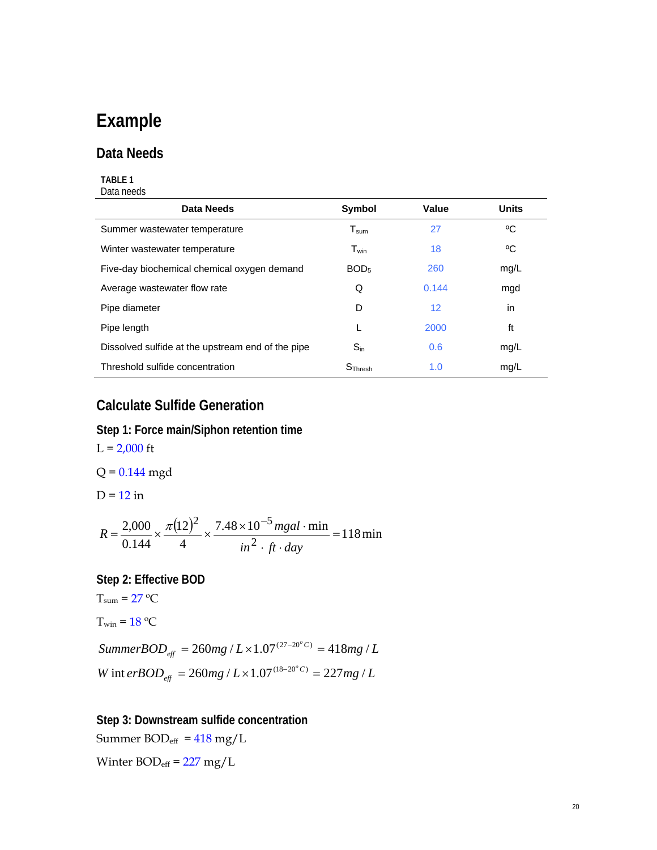# **Example**

### **Data Needs**

#### **TABLE 1**  Data needs

| Data Needs                                        | <b>Symbol</b>               | Value             | <b>Units</b> |
|---------------------------------------------------|-----------------------------|-------------------|--------------|
| Summer wastewater temperature                     | ${\mathsf T}_{\text{sum}}$  | 27                | °C           |
| Winter wastewater temperature                     | $\mathsf{T}_{\mathsf{win}}$ | 18                | °C           |
| Five-day biochemical chemical oxygen demand       | BOD <sub>5</sub>            | 260               | mg/L         |
| Average wastewater flow rate                      | Q                           | 0.144             | mgd          |
| Pipe diameter                                     | D                           | $12 \overline{ }$ | in           |
| Pipe length                                       |                             | 2000              | ft           |
| Dissolved sulfide at the upstream end of the pipe | $S_{in}$                    | 0.6               | mg/L         |
| Threshold sulfide concentration                   | $S$ Thresh                  | 1.0               | mg/L         |

=

# **Calculate Sulfide Generation**

#### **Step 1: Force main/Siphon retention time**

 $L = 2,000$  ft  $Q = 0.144$  mgd  $D = 12$  in  $\frac{(12)^2}{4} \times \frac{7.48 \times 10^{-5} \text{ mgal} \cdot \text{min}}{2} = 118 \text{ min}$ 4 12 0.144 2,000 2 2  $7.48 \times 10^{-5}$  $=\frac{2,000}{2,000}\times\frac{\pi(12)^2}{4}\times\frac{7.48\times10^{-5}mgal}{4}$  $in^2 \cdot ft \cdot day$  $R = \frac{2,000}{8.64 \times 10^{12}} \times \frac{\pi (12)^2}{4} \times \frac{7.48 \times 10^{-5} \text{ m} \text{g}al}{2}$ **Step 2: Effective BOD**   $T_{\text{sum}} = 27 \text{ °C}$  $T_{win} = 18 \text{ °C}$ 

*W* int erBOD<sub>eff</sub> = 260mg /  $L \times 1.07^{(18-20^{\circ}C)} = 227mg/L$ *SummerBOD*<sub>*eff*</sub> = 260*mg* /  $L \times 1.07^{(27-20^{\circ}C)}$  = 418*mg* /  $L$ *eff eff*  $\int \frac{d\mathbf{r}}{dt} = 260 mg / L \times 1.07^{(18-20^o C)} = 227 mg / L \times 1.07^{(18-20^o C)}$  $= 260 mg / L \times 1.07^{(27-20°C)} = 418 mg /$ 

 $\cdot$  ft  $\cdot$ 

**Step 3: Downstream sulfide concentration**  Summer  $BOD_{\text{eff}} = 418 \text{ mg/L}$ 

Winter  $BOD_{\text{eff}} = 227 \text{ mg/L}$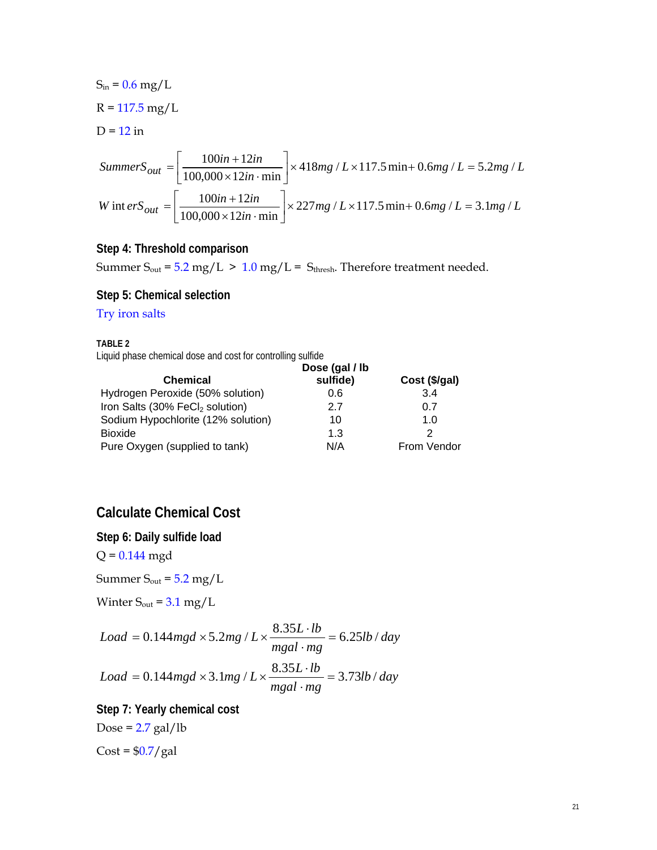$$
S_{in} = 0.6 \text{ mg/L}
$$
  
R = 117.5 mg/L  
D = 12 in  
*Summary*  
*Summer*  
*S*<sub>out</sub> =  $\left[ \frac{100in + 12in}{100,000 \times 12in \cdot \text{min}} \right] \times 418mg / L \times 117.5 \text{ min} + 0.6mg / L = 5.2mg / L$   
*W* int *ers*<sub>out</sub> =  $\left[ \frac{100in + 12in}{100,000 \times 12in \cdot \text{min}} \right] \times 227mg / L \times 117.5 \text{ min} + 0.6mg / L = 3.1mg / L$ 

#### **Step 4: Threshold comparison**

Summer  $S_{out} = 5.2$  mg/L > 1.0 mg/L =  $S_{thresh}$ . Therefore treatment needed.

#### **Step 5: Chemical selection**

#### Try iron salts

**TABLE 2** 

Liquid phase chemical dose and cost for controlling sulfide

|                                             | Dose (gal / lb |               |
|---------------------------------------------|----------------|---------------|
| <b>Chemical</b>                             | sulfide)       | Cost (\$/gal) |
| Hydrogen Peroxide (50% solution)            | 0.6            | 3.4           |
| Iron Salts (30% FeCl <sub>2</sub> solution) | 27             | 0.7           |
| Sodium Hypochlorite (12% solution)          | 10             | 1. $\Omega$   |
| <b>Bioxide</b>                              | 1.3            | 2             |
| Pure Oxygen (supplied to tank)              | N/A            | From Vendor   |

# **Calculate Chemical Cost**

**Step 6: Daily sulfide load** 

 $Q = 0.144$  mgd

Summer  $S_{\text{out}} = 5.2 \text{ mg/L}$ 

Winter  $S_{\text{out}} = 3.1 \text{ mg/L}$ 

$$
Load = 0.144mgd \times 5.2mg / L \times \frac{8.35L \cdot lb}{mgal \cdot mg} = 6.25lb / day
$$
  

$$
Load = 0.144mgd \times 3.1mg / L \times \frac{8.35L \cdot lb}{mgal \cdot mg} = 3.73lb / day
$$

**Step 7: Yearly chemical cost** 

Dose =  $2.7$  gal/lb

 $Cost = $0.7/gal$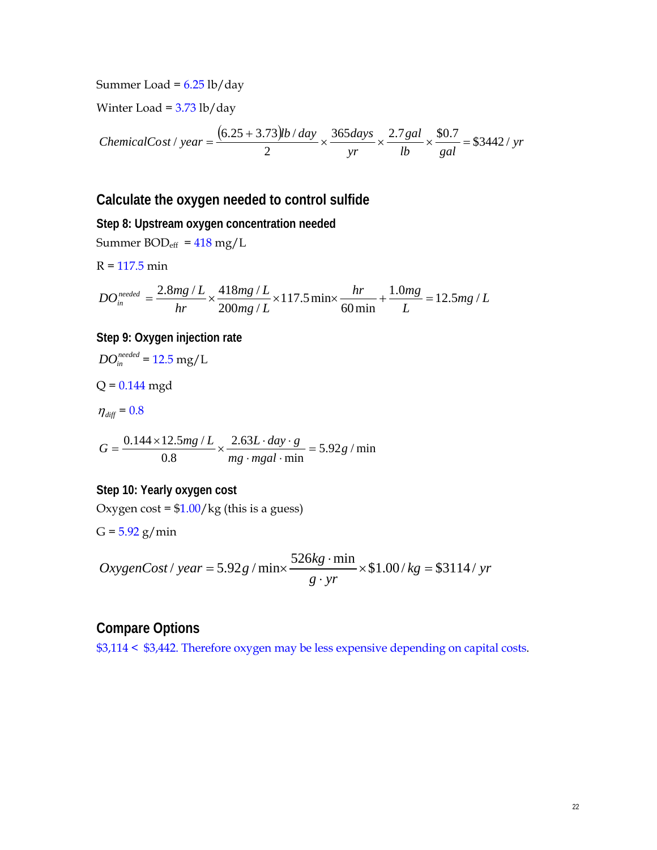Summer Load =  $6.25$  lb/day

Winter Load =  $3.73$  lb/day

ChemicalCost / year = 
$$
\frac{(6.25 + 3.73)lb / day}{2} \times \frac{365 days}{yr} \times \frac{2.7 gal}{lb} \times \frac{\$0.7}{gal} = \$3442 / yr
$$

### **Calculate the oxygen needed to control sulfide**

**Step 8: Upstream oxygen concentration needed**  Summer  $BOD_{eff} = 418 \text{ mg/L}$  $R = 117.5$  min  $mg/L$ *L hr mg mg L mg L hr*  $DO^{needed}_{in} = \frac{2.8mg/L}{hr} \times \frac{418mg/L}{200mg/L} \times 117.5\, \text{min} \times \frac{hr}{60\, \text{min}} + \frac{1.0mg}{L} = 12.5mg/L$ 117.5min  $200 mg/$  $=\frac{2.8 mg/L}{1.000 \times 10^{14} \text{ kg/L}} \times 117.5 \text{ min} \times \frac{hr}{600 \times 10^{14} \text{ kg}} = 12.5 mg/L$ **Step 9: Oxygen injection rate**   $DO_{in}^{needed} = 12.5$  mg/L  $Q = 0.144$  mgd  $\eta_{\text{diff}} = 0.8$ 

 $5.92g / min$ 2.63  $\frac{0.144 \times 12.5mg}{L} \times \frac{2.63L \cdot day \cdot g}{L} = 5.92g$  $G = \frac{0.144 \times 12.5mg/L}{0.8} \times \frac{2.63L \cdot day \cdot g}{mg \cdot mgal \cdot min} = 5.92g / min$ 

$$
0.8 \t mg-mgal\cdot min
$$

**Step 10: Yearly oxygen cost** 

Oxygen cost =  $$1.00/kg$  (this is a guess)

 $G = 5.92$  g/min

 $kg = $3114 / yr$  $OxygenCost / year = 5.92 g / min \times \frac{526 kg \cdot min}{g \cdot yr} \times $1.00 / kg = $3114 / yr$ 

### **Compare Options**

\$3,114 < \$3,442. Therefore oxygen may be less expensive depending on capital costs.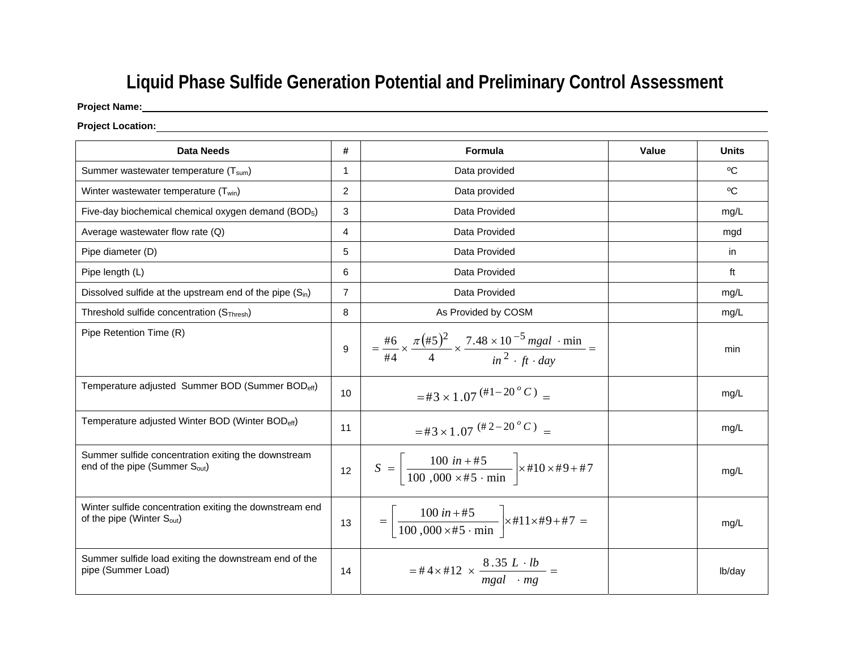# **Liquid Phase Sulfide Generation Potential and Preliminary Control Assessment**

### **Project Name:**

#### **Project Location:**

| Data Needs                                                                                        | #              | Formula                                                                                                                                                         | Value | <b>Units</b> |
|---------------------------------------------------------------------------------------------------|----------------|-----------------------------------------------------------------------------------------------------------------------------------------------------------------|-------|--------------|
| Summer wastewater temperature $(T_{sum})$                                                         | $\mathbf{1}$   | Data provided                                                                                                                                                   |       | $^{\circ}$ C |
| Winter wastewater temperature $(T_{win})$                                                         | 2              | Data provided                                                                                                                                                   |       | $^{\circ}$ C |
| Five-day biochemical chemical oxygen demand (BOD <sub>5</sub> )                                   | 3              | Data Provided                                                                                                                                                   |       | mq/L         |
| Average wastewater flow rate $(Q)$                                                                | $\overline{4}$ | Data Provided                                                                                                                                                   |       | mgd          |
| Pipe diameter (D)                                                                                 | 5              | Data Provided                                                                                                                                                   |       | in           |
| Pipe length (L)                                                                                   | 6              | Data Provided                                                                                                                                                   |       | ft           |
| Dissolved sulfide at the upstream end of the pipe $(S_{in})$                                      | $\overline{7}$ | Data Provided                                                                                                                                                   |       | mg/L         |
| Threshold sulfide concentration (S <sub>Thresh</sub> )                                            | 8              | As Provided by COSM                                                                                                                                             |       | mg/L         |
| Pipe Retention Time (R)                                                                           | 9              | $=\frac{\#6}{\#4} \times \frac{\pi (\#5)^2}{4} \times \frac{7.48 \times 10^{-5} \text{ mgal} \cdot \text{min}}{\text{in}^2 \cdot \text{ft} \cdot \text{day}} =$ |       | min          |
| Temperature adjusted Summer BOD (Summer BOD <sub>eff</sub> )                                      | 10             | =#3 × 1.07 $^{(\#1-20^{\circ}C)}$ =                                                                                                                             |       | mg/L         |
| Temperature adjusted Winter BOD (Winter BOD <sub>eff</sub> )                                      | 11             | $=$ #3 × 1.07 <sup>(#2-20°C)</sup> =                                                                                                                            |       | mg/L         |
| Summer sulfide concentration exiting the downstream<br>end of the pipe (Summer $S_{\text{out}}$ ) | 12             | $S = \frac{100 \text{ in} + #5}{100 \text{ 000} \times #5 \cdot \text{min}} \times #10 \times #9 + #7$                                                          |       | mq/L         |
| Winter sulfide concentration exiting the downstream end<br>of the pipe (Winter $S_{\text{out}}$ ) | 13             | $= \left  \frac{100 \text{ in} + \#5}{100,000 \times \#5 \cdot \text{min}} \right  \times \#11 \times \#9 + \#7 =$                                              |       | mq/L         |
| Summer sulfide load exiting the downstream end of the<br>pipe (Summer Load)                       | 14             | $=$ #4 $\times$ #12 $\times \frac{8.35 \ L \cdot lb}{mgal \cdot mg}$ =                                                                                          |       | lb/day       |